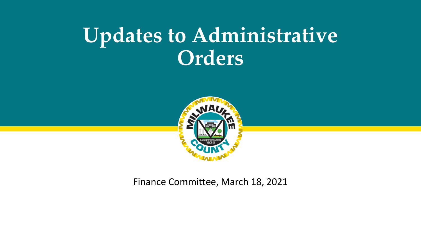## **Updates to Administrative Orders**



Finance Committee, March 18, 2021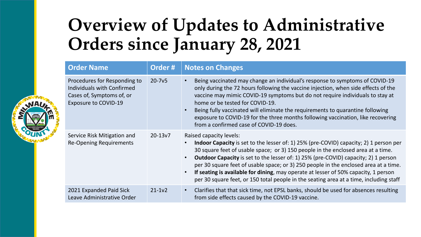## **Overview of Updates to Administrative Orders since January 28, 2021**

| <b>Order Name</b>                                                                                                      | Order#      | <b>Notes on Changes</b>                                                                                                                                                                                                                                                                                                                                                                                                                                                                                                                                                                                     |  |
|------------------------------------------------------------------------------------------------------------------------|-------------|-------------------------------------------------------------------------------------------------------------------------------------------------------------------------------------------------------------------------------------------------------------------------------------------------------------------------------------------------------------------------------------------------------------------------------------------------------------------------------------------------------------------------------------------------------------------------------------------------------------|--|
| Procedures for Responding to<br>Individuals with Confirmed<br>Cases of, Symptoms of, or<br><b>Exposure to COVID-19</b> | $20 - 7v5$  | Being vaccinated may change an individual's response to symptoms of COVID-19<br>$\bullet$<br>only during the 72 hours following the vaccine injection, when side effects of the<br>vaccine may mimic COVID-19 symptoms but do not require individuals to stay at<br>home or be tested for COVID-19.<br>Being fully vaccinated will eliminate the requirements to quarantine following<br>$\bullet$<br>exposure to COVID-19 for the three months following vaccination, like recovering<br>from a confirmed case of COVID-19 does.                                                                           |  |
| Service Risk Mitigation and<br>Re-Opening Requirements                                                                 | $20 - 13v7$ | Raised capacity levels:<br><b>Indoor Capacity</b> is set to the lesser of: 1) 25% (pre-COVID) capacity; 2) 1 person per<br>30 square feet of usable space; or 3) 150 people in the enclosed area at a time.<br><b>Outdoor Capacity</b> is set to the lesser of: 1) 25% (pre-COVID) capacity; 2) 1 person<br>$\bullet$<br>per 30 square feet of usable space; or 3) 250 people in the enclosed area at a time.<br>If seating is available for dining, may operate at lesser of 50% capacity, 1 person<br>$\bullet$<br>per 30 square feet, or 150 total people in the seating area at a time, including staff |  |
| 2021 Expanded Paid Sick<br>Leave Administrative Order                                                                  | $21 - 1v2$  | Clarifies that that sick time, not EPSL banks, should be used for absences resulting<br>$\bullet$<br>from side effects caused by the COVID-19 vaccine.                                                                                                                                                                                                                                                                                                                                                                                                                                                      |  |